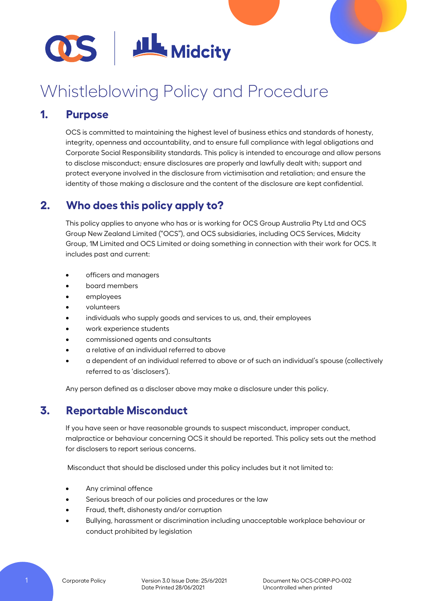

# Whistleblowing Policy and Procedure

## **1. Purpose**

OCS is committed to maintaining the highest level of business ethics and standards of honesty, integrity, openness and accountability, and to ensure full compliance with legal obligations and Corporate Social Responsibility standards. This policy is intended to encourage and allow persons to disclose misconduct; ensure disclosures are properly and lawfully dealt with; support and protect everyone involved in the disclosure from victimisation and retaliation; and ensure the identity of those making a disclosure and the content of the disclosure are kept confidential.

# **2. Who does this policy apply to?**

This policy applies to anyone who has or is working for OCS Group Australia Pty Ltd and OCS Group New Zealand Limited ("OCS"), and OCS subsidiaries, including OCS Services, Midcity Group, 1M Limited and OCS Limited or doing something in connection with their work for OCS. It includes past and current:

- officers and managers
- board members
- employees
- volunteers
- individuals who supply goods and services to us, and, their employees
- work experience students
- commissioned agents and consultants
- a relative of an individual referred to above
- a dependent of an individual referred to above or of such an individual's spouse (collectively referred to as 'disclosers').

Any person defined as a discloser above may make a disclosure under this policy.

# **3. Reportable Misconduct**

If you have seen or have reasonable grounds to suspect misconduct, improper conduct, malpractice or behaviour concerning OCS it should be reported. This policy sets out the method for disclosers to report serious concerns.

Misconduct that should be disclosed under this policy includes but it not limited to:

- Any criminal offence
- Serious breach of our policies and procedures or the law
- Fraud, theft, dishonesty and/or corruption
- Bullying, harassment or discrimination including unacceptable workplace behaviour or conduct prohibited by legislation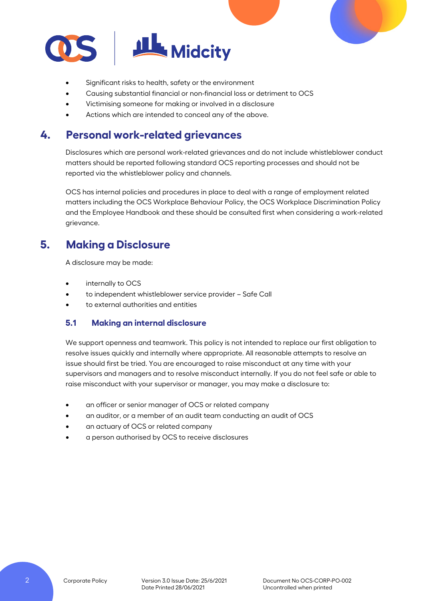

- Significant risks to health, safety or the environment
- Causing substantial financial or non-financial loss or detriment to OCS
- Victimising someone for making or involved in a disclosure
- Actions which are intended to conceal any of the above.

# **4. Personal work-related grievances**

Disclosures which are personal work-related grievances and do not include whistleblower conduct matters should be reported following standard OCS reporting processes and should not be reported via the whistleblower policy and channels.

OCS has internal policies and procedures in place to deal with a range of employment related matters including the OCS Workplace Behaviour Policy, the OCS Workplace Discrimination Policy and the Employee Handbook and these should be consulted first when considering a work-related grievance.

# **5. Making a Disclosure**

A disclosure may be made:

- internally to OCS
- to independent whistleblower service provider Safe Call
- to external authorities and entities

## **5.1 Making an internal disclosure**

We support openness and teamwork. This policy is not intended to replace our first obligation to resolve issues quickly and internally where appropriate. All reasonable attempts to resolve an issue should first be tried. You are encouraged to raise misconduct at any time with your supervisors and managers and to resolve misconduct internally. If you do not feel safe or able to raise misconduct with your supervisor or manager, you may make a disclosure to:

- an officer or senior manager of OCS or related company
- an auditor, or a member of an audit team conducting an audit of OCS
- an actuary of OCS or related company
- a person authorised by OCS to receive disclosures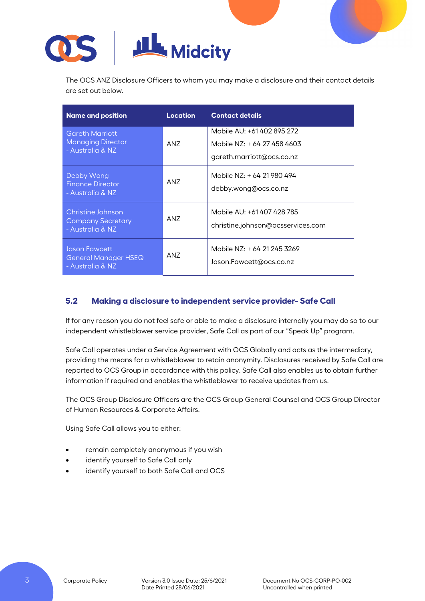

The OCS ANZ Disclosure Officers to whom you may make a disclosure and their contact details are set out below.

| <b>Name and position</b>                                               | <b>Location</b> | <b>Contact details</b>                                                                 |  |
|------------------------------------------------------------------------|-----------------|----------------------------------------------------------------------------------------|--|
| <b>Gareth Marriott</b><br><b>Managing Director</b><br>- Australia & NZ | AN7             | Mobile AU: +61 402 895 272<br>Mobile N7: + 64 27 458 4603<br>gareth.marriott@ocs.co.nz |  |
| Debby Wong<br><b>Finance Director</b><br>- Australia & NZ              | ANZ             | Mobile NZ: + 64 21 980 494<br>debby.wong@ocs.co.nz                                     |  |
| Christine Johnson<br><b>Company Secretary</b><br>- Australia & NZ      | AN7             | Mobile AU: +61 407 428 785<br>christine.johnson@ocsservices.com                        |  |
| Jason Fawcett<br>General Manager HSEQ<br>- Australia & NZ              | ANZ             | Mobile NZ: + 64 21 245 3269<br>Jason.Fawcett@ocs.co.nz                                 |  |

## **5.2 Making a disclosure to independent service provider- Safe Call**

If for any reason you do not feel safe or able to make a disclosure internally you may do so to our independent whistleblower service provider, Safe Call as part of our "Speak Up" program.

Safe Call operates under a Service Agreement with OCS Globally and acts as the intermediary, providing the means for a whistleblower to retain anonymity. Disclosures received by Safe Call are reported to OCS Group in accordance with this policy. Safe Call also enables us to obtain further information if required and enables the whistleblower to receive updates from us.

The OCS Group Disclosure Officers are the OCS Group General Counsel and OCS Group Director of Human Resources & Corporate Affairs.

Using Safe Call allows you to either:

- remain completely anonymous if you wish
- identify yourself to Safe Call only
- identify yourself to both Safe Call and OCS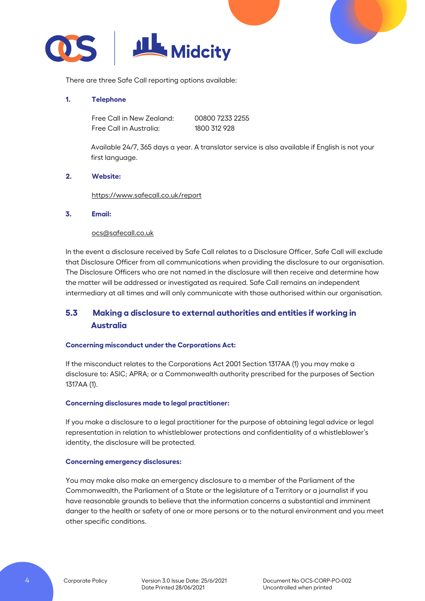

There are three Safe Call reporting options available:

### **1. Telephone**

Free Call in New Zealand: 00800 7233 2255 Free Call in Australia: 1800 312 928

Available 24/7, 365 days a year. A translator service is also available if English is not your first language.

### **2. Website:**

<https://www.safecall.co.uk/report>

### **3. Email:**

### [ocs@safecall.co.uk](mailto:ocs@safecall.co.uk)

In the event a disclosure received by Safe Call relates to a Disclosure Officer, Safe Call will exclude that Disclosure Officer from all communications when providing the disclosure to our organisation. The Disclosure Officers who are not named in the disclosure will then receive and determine how the matter will be addressed or investigated as required. Safe Call remains an independent intermediary at all times and will only communicate with those authorised within our organisation.

## **5.3 Making a disclosure to external authorities and entities if working in Australia**

## **Concerning misconduct under the Corporations Act:**

If the misconduct relates to the Corporations Act 2001 Section 1317AA (1) you may make a disclosure to: ASIC; APRA; or a Commonwealth authority prescribed for the purposes of Section 1317AA (1).

### **Concerning disclosures made to legal practitioner:**

If you make a disclosure to a legal practitioner for the purpose of obtaining legal advice or legal representation in relation to whistleblower protections and confidentiality of a whistleblower's identity, the disclosure will be protected.

### **Concerning emergency disclosures:**

You may make also make an emergency disclosure to a member of the Parliament of the Commonwealth, the Parliament of a State or the legislature of a Territory or a journalist if you have reasonable grounds to believe that the information concerns a substantial and imminent danger to the health or safety of one or more persons or to the natural environment and you meet other specific conditions.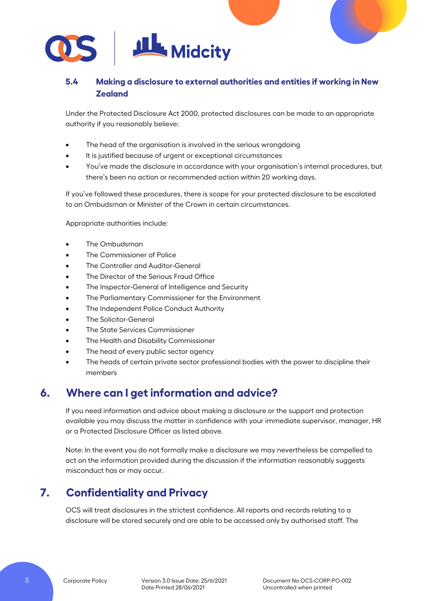

## **5.4 Making a disclosure to external authorities and entities if working in New Zealand**

Under the Protected Disclosure Act 2000, protected disclosures can be made to an appropriate authority if you reasonably believe:

- The head of the organisation is involved in the serious wrongdoing
- It is justified because of urgent or exceptional circumstances
- You've made the disclosure in accordance with your organisation's internal procedures, but there's been no action or recommended action within 20 working days.

If you've followed these procedures, there is scope for your protected disclosure to be escalated to an Ombudsman or Minister of the Crown in certain circumstances.

Appropriate authorities include:

- The Ombudsman
- The Commissioner of Police
- The Controller and Auditor-General
- The Director of the Serious Fraud Office
- The Inspector-General of Intelligence and Security
- The Parliamentary Commissioner for the Environment
- The Independent Police Conduct Authority
- The Solicitor-General
- The State Services Commissioner
- The Health and Disability Commissioner
- The head of every public sector agency
- The heads of certain private sector professional bodies with the power to discipline their members

## **6. Where can I get information and advice?**

If you need information and advice about making a disclosure or the support and protection available you may discuss the matter in confidence with your immediate supervisor, manager, HR or a Protected Disclosure Officer as listed above.

Note: In the event you do not formally make a disclosure we may nevertheless be compelled to act on the information provided during the discussion if the information reasonably suggests misconduct has or may occur.

# **7. Confidentiality and Privacy**

OCS will treat disclosures in the strictest confidence. All reports and records relating to a disclosure will be stored securely and are able to be accessed only by authorised staff. The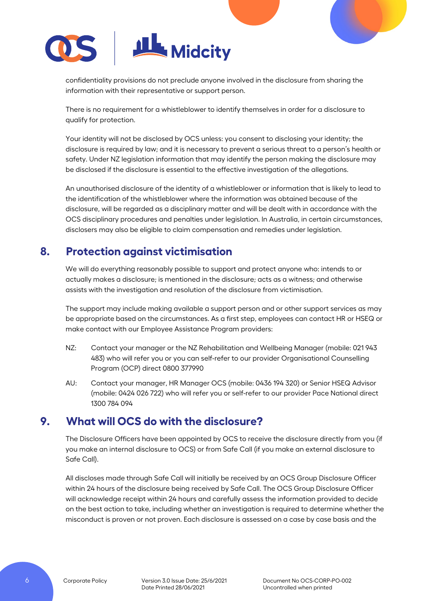

confidentiality provisions do not preclude anyone involved in the disclosure from sharing the information with their representative or support person.

There is no requirement for a whistleblower to identify themselves in order for a disclosure to qualify for protection.

Your identity will not be disclosed by OCS unless: you consent to disclosing your identity; the disclosure is required by law; and it is necessary to prevent a serious threat to a person's health or safety. Under NZ legislation information that may identify the person making the disclosure may be disclosed if the disclosure is essential to the effective investigation of the allegations.

An unauthorised disclosure of the identity of a whistleblower or information that is likely to lead to the identification of the whistleblower where the information was obtained because of the disclosure, will be regarded as a disciplinary matter and will be dealt with in accordance with the OCS disciplinary procedures and penalties under legislation. In Australia, in certain circumstances, disclosers may also be eligible to claim compensation and remedies under legislation.

# **8. Protection against victimisation**

We will do everything reasonably possible to support and protect anyone who: intends to or actually makes a disclosure; is mentioned in the disclosure; acts as a witness; and otherwise assists with the investigation and resolution of the disclosure from victimisation.

The support may include making available a support person and or other support services as may be appropriate based on the circumstances. As a first step, employees can contact HR or HSEQ or make contact with our Employee Assistance Program providers:

- NZ: Contact your manager or the NZ Rehabilitation and Wellbeing Manager (mobile: 021 943 483) who will refer you or you can self-refer to our provider Organisational Counselling Program (OCP) direct 0800 377990
- AU: Contact your manager, HR Manager OCS (mobile: 0436 194 320) or Senior HSEQ Advisor (mobile: 0424 026 722) who will refer you or self-refer to our provider Pace National direct 1300 784 094

# **9. What will OCS do with the disclosure?**

The Disclosure Officers have been appointed by OCS to receive the disclosure directly from you (if you make an internal disclosure to OCS) or from Safe Call (if you make an external disclosure to Safe Call).

All discloses made through Safe Call will initially be received by an OCS Group Disclosure Officer within 24 hours of the disclosure being received by Safe Call. The OCS Group Disclosure Officer will acknowledge receipt within 24 hours and carefully assess the information provided to decide on the best action to take, including whether an investigation is required to determine whether the misconduct is proven or not proven. Each disclosure is assessed on a case by case basis and the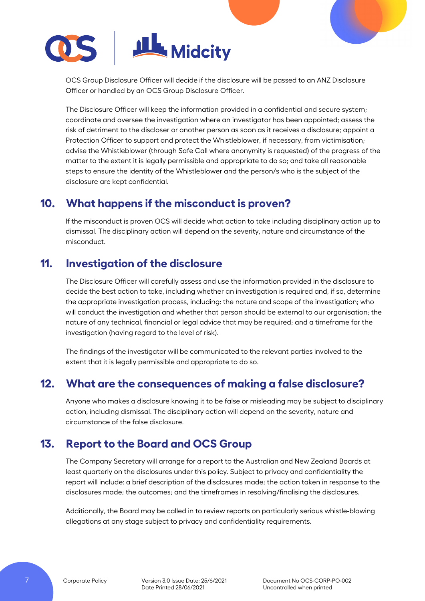

OCS Group Disclosure Officer will decide if the disclosure will be passed to an ANZ Disclosure Officer or handled by an OCS Group Disclosure Officer.

The Disclosure Officer will keep the information provided in a confidential and secure system; coordinate and oversee the investigation where an investigator has been appointed; assess the risk of detriment to the discloser or another person as soon as it receives a disclosure; appoint a Protection Officer to support and protect the Whistleblower, if necessary, from victimisation; advise the Whistleblower (through Safe Call where anonymity is requested) of the progress of the matter to the extent it is legally permissible and appropriate to do so; and take all reasonable steps to ensure the identity of the Whistleblower and the person/s who is the subject of the disclosure are kept confidential.

# **10. What happens if the misconduct is proven?**

If the misconduct is proven OCS will decide what action to take including disciplinary action up to dismissal. The disciplinary action will depend on the severity, nature and circumstance of the misconduct.

# **11. Investigation of the disclosure**

The Disclosure Officer will carefully assess and use the information provided in the disclosure to decide the best action to take, including whether an investigation is required and, if so, determine the appropriate investigation process, including: the nature and scope of the investigation; who will conduct the investigation and whether that person should be external to our organisation; the nature of any technical, financial or legal advice that may be required; and a timeframe for the investigation (having regard to the level of risk).

The findings of the investigator will be communicated to the relevant parties involved to the extent that it is legally permissible and appropriate to do so.

## **12. What are the consequences of making a false disclosure?**

Anyone who makes a disclosure knowing it to be false or misleading may be subject to disciplinary action, including dismissal. The disciplinary action will depend on the severity, nature and circumstance of the false disclosure.

# **13. Report to the Board and OCS Group**

The Company Secretary will arrange for a report to the Australian and New Zealand Boards at least quarterly on the disclosures under this policy. Subject to privacy and confidentiality the report will include: a brief description of the disclosures made; the action taken in response to the disclosures made; the outcomes; and the timeframes in resolving/finalising the disclosures.

Additionally, the Board may be called in to review reports on particularly serious whistle-blowing allegations at any stage subject to privacy and confidentiality requirements.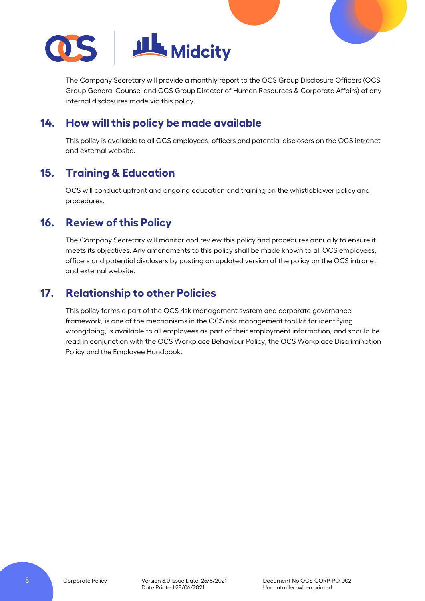

The Company Secretary will provide a monthly report to the OCS Group Disclosure Officers (OCS Group General Counsel and OCS Group Director of Human Resources & Corporate Affairs) of any internal disclosures made via this policy.

# **14. How will this policy be made available**

This policy is available to all OCS employees, officers and potential disclosers on the OCS intranet and external website.

# **15. Training & Education**

OCS will conduct upfront and ongoing education and training on the whistleblower policy and procedures.

# **16. Review of this Policy**

The Company Secretary will monitor and review this policy and procedures annually to ensure it meets its objectives. Any amendments to this policy shall be made known to all OCS employees, officers and potential disclosers by posting an updated version of the policy on the OCS intranet and external website.

# **17. Relationship to other Policies**

This policy forms a part of the OCS risk management system and corporate governance framework; is one of the mechanisms in the OCS risk management tool kit for identifying wrongdoing; is available to all employees as part of their employment information; and should be read in conjunction with the OCS Workplace Behaviour Policy, the OCS Workplace Discrimination Policy and the Employee Handbook.